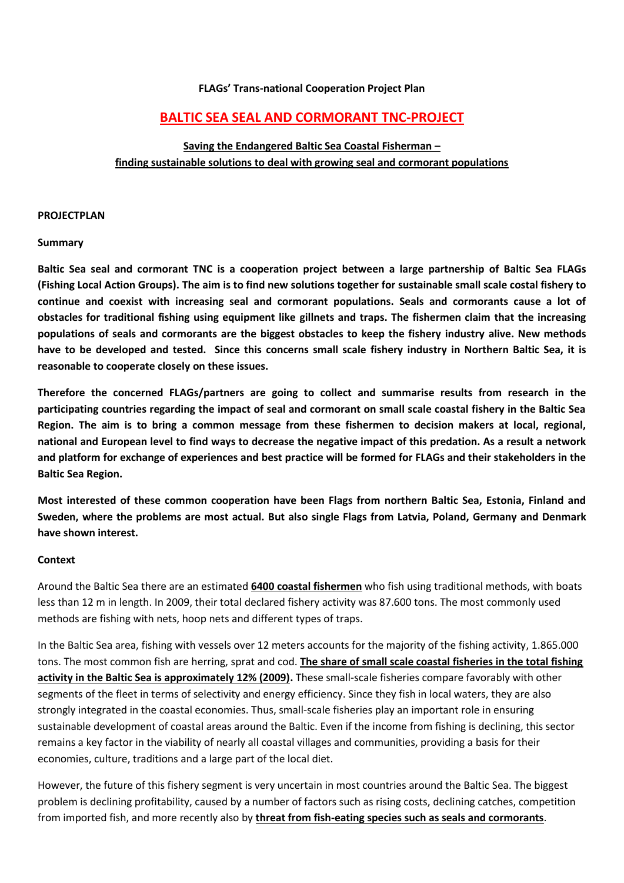#### **FLAGs' Trans-national Cooperation Project Plan**

# **BALTIC SEA SEAL AND CORMORANT TNC-PROJECT**

# **Saving the Endangered Baltic Sea Coastal Fisherman – finding sustainable solutions to deal with growing seal and cormorant populations**

#### **PROJECTPLAN**

#### **Summary**

**Baltic Sea seal and cormorant TNC is a cooperation project between a large partnership of Baltic Sea FLAGs (Fishing Local Action Groups). The aim is to find new solutions together for sustainable small scale costal fishery to continue and coexist with increasing seal and cormorant populations. Seals and cormorants cause a lot of obstacles for traditional fishing using equipment like gillnets and traps. The fishermen claim that the increasing populations of seals and cormorants are the biggest obstacles to keep the fishery industry alive. New methods have to be developed and tested. Since this concerns small scale fishery industry in Northern Baltic Sea, it is reasonable to cooperate closely on these issues.** 

**Therefore the concerned FLAGs/partners are going to collect and summarise results from research in the participating countries regarding the impact of seal and cormorant on small scale coastal fishery in the Baltic Sea Region. The aim is to bring a common message from these fishermen to decision makers at local, regional, national and European level to find ways to decrease the negative impact of this predation. As a result a network and platform for exchange of experiences and best practice will be formed for FLAGs and their stakeholders in the Baltic Sea Region.**

**Most interested of these common cooperation have been Flags from northern Baltic Sea, Estonia, Finland and Sweden, where the problems are most actual. But also single Flags from Latvia, Poland, Germany and Denmark have shown interest.** 

#### **Context**

Around the Baltic Sea there are an estimated **6400 coastal fishermen** who fish using traditional methods, with boats less than 12 m in length. In 2009, their total declared fishery activity was 87.600 tons. The most commonly used methods are fishing with nets, hoop nets and different types of traps.

In the Baltic Sea area, fishing with vessels over 12 meters accounts for the majority of the fishing activity, 1.865.000 tons. The most common fish are herring, sprat and cod. **The share of small scale coastal fisheries in the total fishing activity in the Baltic Sea is approximately 12% (2009).** These small-scale fisheries compare favorably with other segments of the fleet in terms of selectivity and energy efficiency. Since they fish in local waters, they are also strongly integrated in the coastal economies. Thus, small-scale fisheries play an important role in ensuring sustainable development of coastal areas around the Baltic. Even if the income from fishing is declining, this sector remains a key factor in the viability of nearly all coastal villages and communities, providing a basis for their economies, culture, traditions and a large part of the local diet.

However, the future of this fishery segment is very uncertain in most countries around the Baltic Sea. The biggest problem is declining profitability, caused by a number of factors such as rising costs, declining catches, competition from imported fish, and more recently also by **threat from fish-eating species such as seals and cormorants**.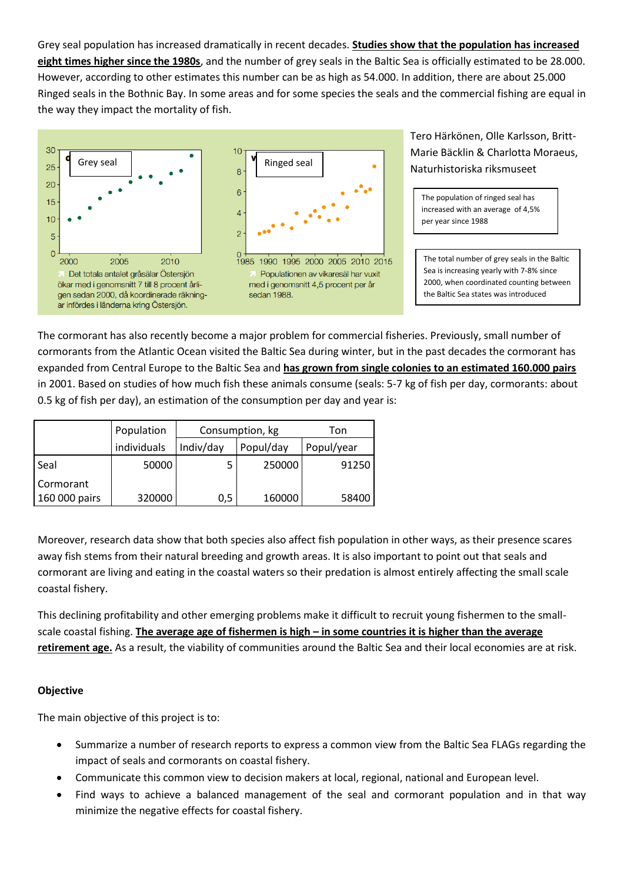Grey seal population has increased dramatically in recent decades. **Studies show that the population has increased eight times higher since the 1980s**, and the number of grey seals in the Baltic Sea is officially estimated to be 28.000. However, according to other estimates this number can be as high as 54.000. In addition, there are about 25.000 Ringed seals in the Bothnic Bay. In some areas and for some species the seals and the commercial fishing are equal in the way they impact the mortality of fish.





Tero Härkönen, Olle Karlsson, Britt-Marie Bäcklin & Charlotta Moraeus, Naturhistoriska riksmuseet

The population of ringed seal has increased with an average of 4,5% per year since 1988

The total number of grey seals in the Baltic Sea is increasing yearly with 7-8% since 2000, when coordinated counting between the Baltic Sea states was introduced

The cormorant has also recently become a major problem for commercial fisheries. Previously, small number of cormorants from the Atlantic Ocean visited the Baltic Sea during winter, but in the past decades the cormorant has expanded from Central Europe to the Baltic Sea and **has grown from single colonies to an estimated 160.000 pairs** in 2001. Based on studies of how much fish these animals consume (seals: 5-7 kg of fish per day, cormorants: about 0.5 kg of fish per day), an estimation of the consumption per day and year is:

|               | Population  | Consumption, kg |           | Ton        |
|---------------|-------------|-----------------|-----------|------------|
|               | individuals | Indiv/day       | Popul/day | Popul/year |
| Seal          | 50000       |                 | 250000    | 91250      |
| Cormorant     |             |                 |           |            |
| 160 000 pairs | 320000      | 0,5             | 160000    | 58400      |

Moreover, research data show that both species also affect fish population in other ways, as their presence scares away fish stems from their natural breeding and growth areas. It is also important to point out that seals and cormorant are living and eating in the coastal waters so their predation is almost entirely affecting the small scale coastal fishery.

This declining profitability and other emerging problems make it difficult to recruit young fishermen to the smallscale coastal fishing. **The average age of fishermen is high – in some countries it is higher than the average retirement age.** As a result, the viability of communities around the Baltic Sea and their local economies are at risk.

## **Objective**

The main objective of this project is to:

- Summarize a number of research reports to express a common view from the Baltic Sea FLAGs regarding the impact of seals and cormorants on coastal fishery.
- Communicate this common view to decision makers at local, regional, national and European level.
- Find ways to achieve a balanced management of the seal and cormorant population and in that way minimize the negative effects for coastal fishery.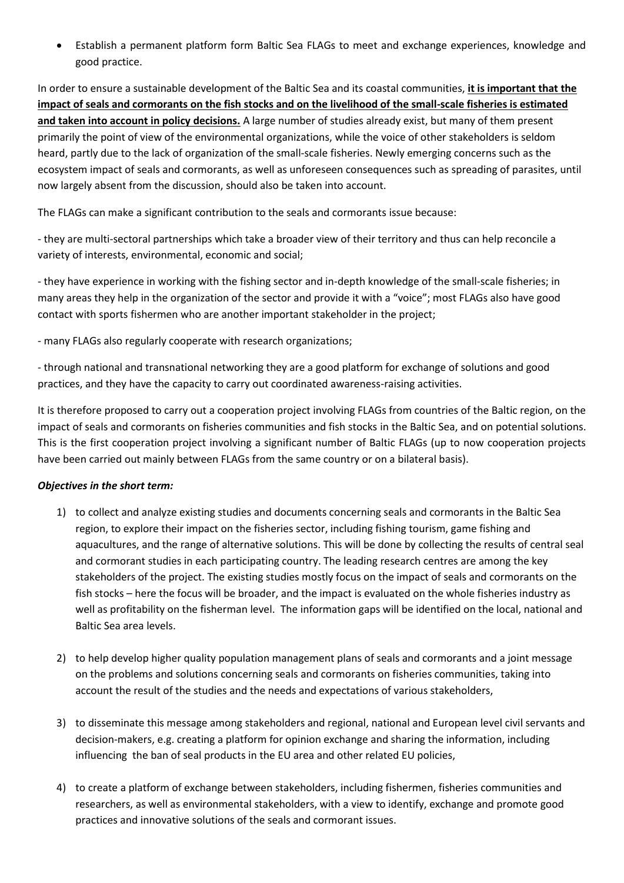Establish a permanent platform form Baltic Sea FLAGs to meet and exchange experiences, knowledge and good practice.

In order to ensure a sustainable development of the Baltic Sea and its coastal communities, **it is important that the impact of seals and cormorants on the fish stocks and on the livelihood of the small-scale fisheries is estimated and taken into account in policy decisions.** A large number of studies already exist, but many of them present primarily the point of view of the environmental organizations, while the voice of other stakeholders is seldom heard, partly due to the lack of organization of the small-scale fisheries. Newly emerging concerns such as the ecosystem impact of seals and cormorants, as well as unforeseen consequences such as spreading of parasites, until now largely absent from the discussion, should also be taken into account.

The FLAGs can make a significant contribution to the seals and cormorants issue because:

- they are multi-sectoral partnerships which take a broader view of their territory and thus can help reconcile a variety of interests, environmental, economic and social;

- they have experience in working with the fishing sector and in-depth knowledge of the small-scale fisheries; in many areas they help in the organization of the sector and provide it with a "voice"; most FLAGs also have good contact with sports fishermen who are another important stakeholder in the project;

- many FLAGs also regularly cooperate with research organizations;

- through national and transnational networking they are a good platform for exchange of solutions and good practices, and they have the capacity to carry out coordinated awareness-raising activities.

It is therefore proposed to carry out a cooperation project involving FLAGs from countries of the Baltic region, on the impact of seals and cormorants on fisheries communities and fish stocks in the Baltic Sea, and on potential solutions. This is the first cooperation project involving a significant number of Baltic FLAGs (up to now cooperation projects have been carried out mainly between FLAGs from the same country or on a bilateral basis).

#### *Objectives in the short term:*

- 1) to collect and analyze existing studies and documents concerning seals and cormorants in the Baltic Sea region, to explore their impact on the fisheries sector, including fishing tourism, game fishing and aquacultures, and the range of alternative solutions. This will be done by collecting the results of central seal and cormorant studies in each participating country. The leading research centres are among the key stakeholders of the project. The existing studies mostly focus on the impact of seals and cormorants on the fish stocks – here the focus will be broader, and the impact is evaluated on the whole fisheries industry as well as profitability on the fisherman level. The information gaps will be identified on the local, national and Baltic Sea area levels.
- 2) to help develop higher quality population management plans of seals and cormorants and a joint message on the problems and solutions concerning seals and cormorants on fisheries communities, taking into account the result of the studies and the needs and expectations of various stakeholders,
- 3) to disseminate this message among stakeholders and regional, national and European level civil servants and decision-makers, e.g. creating a platform for opinion exchange and sharing the information, including influencing the ban of seal products in the EU area and other related EU policies,
- 4) to create a platform of exchange between stakeholders, including fishermen, fisheries communities and researchers, as well as environmental stakeholders, with a view to identify, exchange and promote good practices and innovative solutions of the seals and cormorant issues.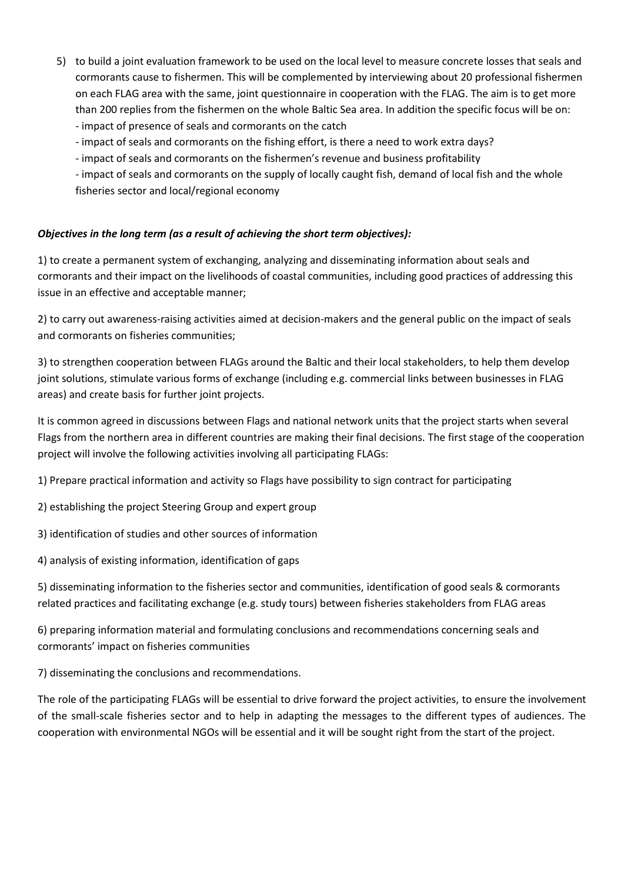- 5) to build a joint evaluation framework to be used on the local level to measure concrete losses that seals and cormorants cause to fishermen. This will be complemented by interviewing about 20 professional fishermen on each FLAG area with the same, joint questionnaire in cooperation with the FLAG. The aim is to get more than 200 replies from the fishermen on the whole Baltic Sea area. In addition the specific focus will be on: - impact of presence of seals and cormorants on the catch
	- impact of seals and cormorants on the fishing effort, is there a need to work extra days?
	- impact of seals and cormorants on the fishermen's revenue and business profitability

- impact of seals and cormorants on the supply of locally caught fish, demand of local fish and the whole fisheries sector and local/regional economy

## *Objectives in the long term (as a result of achieving the short term objectives):*

1) to create a permanent system of exchanging, analyzing and disseminating information about seals and cormorants and their impact on the livelihoods of coastal communities, including good practices of addressing this issue in an effective and acceptable manner;

2) to carry out awareness-raising activities aimed at decision-makers and the general public on the impact of seals and cormorants on fisheries communities;

3) to strengthen cooperation between FLAGs around the Baltic and their local stakeholders, to help them develop joint solutions, stimulate various forms of exchange (including e.g. commercial links between businesses in FLAG areas) and create basis for further joint projects.

It is common agreed in discussions between Flags and national network units that the project starts when several Flags from the northern area in different countries are making their final decisions. The first stage of the cooperation project will involve the following activities involving all participating FLAGs:

1) Prepare practical information and activity so Flags have possibility to sign contract for participating

- 2) establishing the project Steering Group and expert group
- 3) identification of studies and other sources of information
- 4) analysis of existing information, identification of gaps

5) disseminating information to the fisheries sector and communities, identification of good seals & cormorants related practices and facilitating exchange (e.g. study tours) between fisheries stakeholders from FLAG areas

6) preparing information material and formulating conclusions and recommendations concerning seals and cormorants' impact on fisheries communities

7) disseminating the conclusions and recommendations.

The role of the participating FLAGs will be essential to drive forward the project activities, to ensure the involvement of the small-scale fisheries sector and to help in adapting the messages to the different types of audiences. The cooperation with environmental NGOs will be essential and it will be sought right from the start of the project.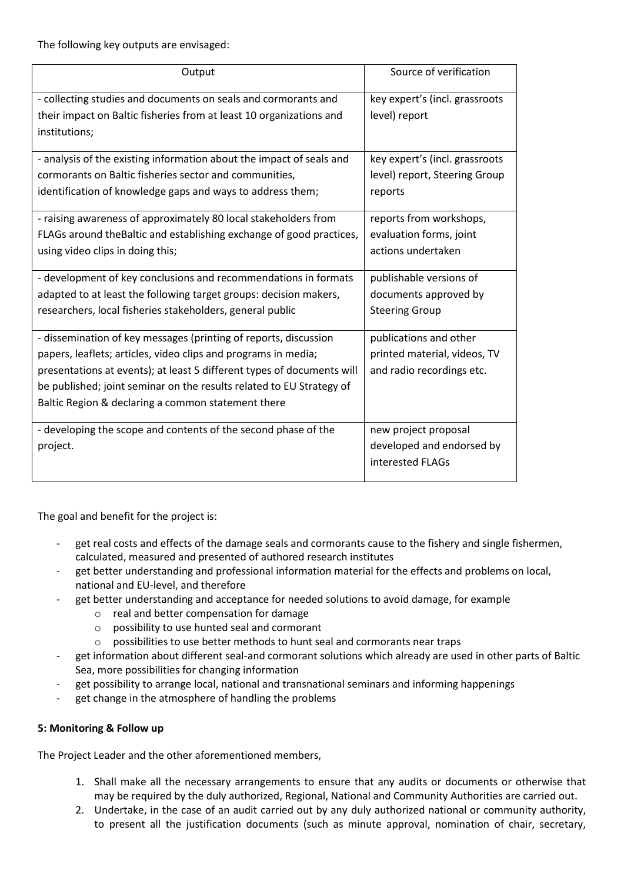The following key outputs are envisaged:

| Output                                                                 | Source of verification         |  |
|------------------------------------------------------------------------|--------------------------------|--|
| - collecting studies and documents on seals and cormorants and         | key expert's (incl. grassroots |  |
| their impact on Baltic fisheries from at least 10 organizations and    | level) report                  |  |
| institutions;                                                          |                                |  |
| - analysis of the existing information about the impact of seals and   | key expert's (incl. grassroots |  |
| cormorants on Baltic fisheries sector and communities,                 | level) report, Steering Group  |  |
| identification of knowledge gaps and ways to address them;             | reports                        |  |
| - raising awareness of approximately 80 local stakeholders from        | reports from workshops,        |  |
| FLAGs around the Baltic and establishing exchange of good practices,   | evaluation forms, joint        |  |
| using video clips in doing this;                                       | actions undertaken             |  |
| - development of key conclusions and recommendations in formats        | publishable versions of        |  |
| adapted to at least the following target groups: decision makers,      | documents approved by          |  |
| researchers, local fisheries stakeholders, general public              | <b>Steering Group</b>          |  |
| - dissemination of key messages (printing of reports, discussion       | publications and other         |  |
| papers, leaflets; articles, video clips and programs in media;         | printed material, videos, TV   |  |
| presentations at events); at least 5 different types of documents will | and radio recordings etc.      |  |
| be published; joint seminar on the results related to EU Strategy of   |                                |  |
| Baltic Region & declaring a common statement there                     |                                |  |
| - developing the scope and contents of the second phase of the         | new project proposal           |  |
| project.                                                               | developed and endorsed by      |  |
|                                                                        | interested FLAGs               |  |

The goal and benefit for the project is:

- get real costs and effects of the damage seals and cormorants cause to the fishery and single fishermen, calculated, measured and presented of authored research institutes
- get better understanding and professional information material for the effects and problems on local, national and EU-level, and therefore
- get better understanding and acceptance for needed solutions to avoid damage, for example
	- o real and better compensation for damage
	- o possibility to use hunted seal and cormorant
	- o possibilities to use better methods to hunt seal and cormorants near traps
- get information about different seal-and cormorant solutions which already are used in other parts of Baltic Sea, more possibilities for changing information
- get possibility to arrange local, national and transnational seminars and informing happenings
- get change in the atmosphere of handling the problems

## **5: Monitoring & Follow up**

The Project Leader and the other aforementioned members,

- 1. Shall make all the necessary arrangements to ensure that any audits or documents or otherwise that may be required by the duly authorized, Regional, National and Community Authorities are carried out.
- 2. Undertake, in the case of an audit carried out by any duly authorized national or community authority, to present all the justification documents (such as minute approval, nomination of chair, secretary,